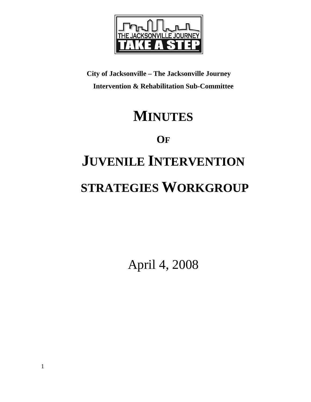

**City of Jacksonville – The Jacksonville Journey Intervention & Rehabilitation Sub-Committee** 

## **MINUTES**

**OF**

# **JUVENILE INTERVENTION STRATEGIES WORKGROUP**

April 4, 2008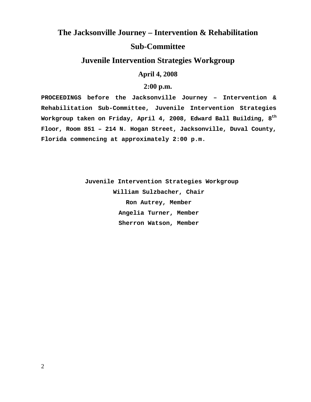### **The Jacksonville Journey – Intervention & Rehabilitation Sub-Committee**

#### **Juvenile Intervention Strategies Workgroup**

**April 4, 2008** 

#### **2:00 p.m.**

**PROCEEDINGS before the Jacksonville Journey – Intervention & Rehabilitation Sub-Committee, Juvenile Intervention Strategies Workgroup taken on Friday, April 4, 2008, Edward Ball Building, 8th Floor, Room 851 – 214 N. Hogan Street, Jacksonville, Duval County, Florida commencing at approximately 2:00 p.m.** 

> **Juvenile Intervention Strategies Workgroup William Sulzbacher, Chair Ron Autrey, Member Angelia Turner, Member Sherron Watson, Member**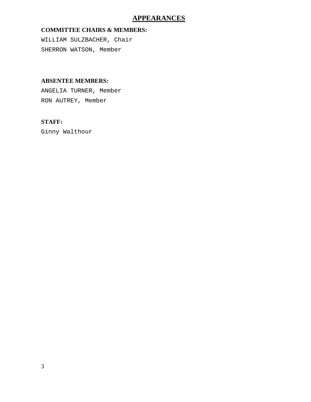#### **APPEARANCES**

#### **COMMITTEE CHAIRS & MEMBERS:**

WILLIAM SULZBACHER, Chair SHERRON WATSON, Member

#### **ABSENTEE MEMBERS:**

ANGELIA TURNER, Member RON AUTREY, Member

#### **STAFF:**

Ginny Walthour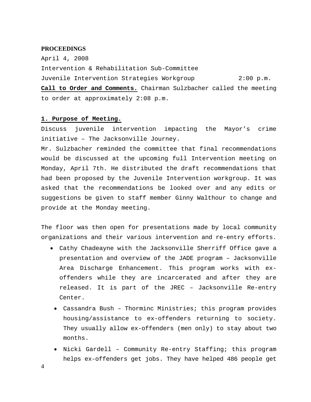#### **PROCEEDINGS**

April 4, 2008 Intervention & Rehabilitation Sub-Committee Juvenile Intervention Strategies Workgroup 2:00 p.m. **Call to Order and Comments.** Chairman Sulzbacher called the meeting to order at approximately 2:08 p.m.

#### **1. Purpose of Meeting.**

Discuss juvenile intervention impacting the Mayor's crime initiative – The Jacksonville Journey.

Mr. Sulzbacher reminded the committee that final recommendations would be discussed at the upcoming full Intervention meeting on Monday, April 7th. He distributed the draft recommendations that had been proposed by the Juvenile Intervention workgroup. It was asked that the recommendations be looked over and any edits or suggestions be given to staff member Ginny Walthour to change and provide at the Monday meeting.

The floor was then open for presentations made by local community organizations and their various intervention and re-entry efforts.

- Cathy Chadeayne with the Jacksonville Sherriff Office gave a presentation and overview of the JADE program – Jacksonville Area Discharge Enhancement. This program works with exoffenders while they are incarcerated and after they are released. It is part of the JREC – Jacksonville Re-entry Center.
	- Cassandra Bush Thorminc Ministries; this program provides housing/assistance to ex-offenders returning to society. They usually allow ex-offenders (men only) to stay about two months.
	- Nicki Gardell Community Re-entry Staffing; this program helps ex-offenders get jobs. They have helped 486 people get